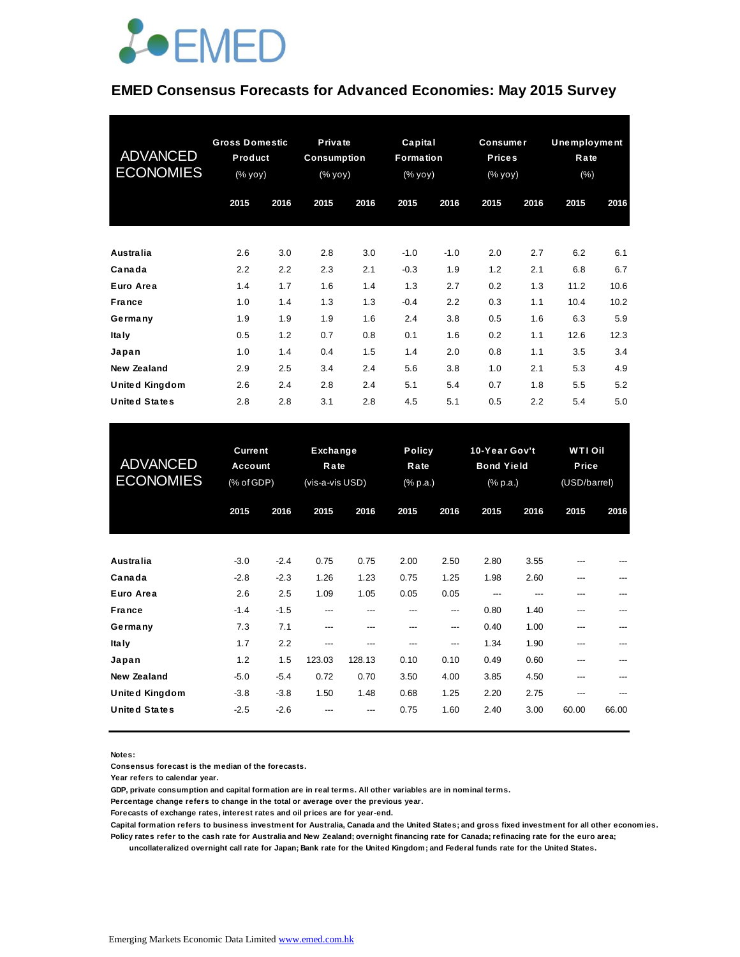

#### **EMED Consensus Forecasts for Advanced Economies: May 2015 Survey**

| <b>ADVANCED</b><br><b>ECONOMIES</b> | <b>Gross Domestic</b><br>Product<br>(% yoy) |      | Private<br><b>Consumption</b><br>(% уоу) |      | Capital<br>Formation<br>(% yoy) |        | <b>Consumer</b><br><b>Prices</b><br>(% yoy) |      | <b>Unemployment</b><br>Rate<br>$(\% )$ |      |
|-------------------------------------|---------------------------------------------|------|------------------------------------------|------|---------------------------------|--------|---------------------------------------------|------|----------------------------------------|------|
|                                     | 2015                                        | 2016 | 2015                                     | 2016 | 2015                            | 2016   | 2015                                        | 2016 | 2015                                   | 2016 |
| <b>Australia</b>                    | 2.6                                         | 3.0  | 2.8                                      | 3.0  | $-1.0$                          | $-1.0$ | 2.0                                         | 2.7  | 6.2                                    | 6.1  |
| Canada                              | 2.2                                         | 2.2  | 2.3                                      | 2.1  | $-0.3$                          | 1.9    | 1.2                                         | 2.1  | 6.8                                    | 6.7  |
| Euro Area                           | 1.4                                         | 1.7  | 1.6                                      | 1.4  | 1.3                             | 2.7    | 0.2                                         | 1.3  | 11.2                                   | 10.6 |
| <b>France</b>                       | 1.0                                         | 1.4  | 1.3                                      | 1.3  | $-0.4$                          | 2.2    | 0.3                                         | 1.1  | 10.4                                   | 10.2 |
| Germany                             | 1.9                                         | 1.9  | 1.9                                      | 1.6  | 2.4                             | 3.8    | 0.5                                         | 1.6  | 6.3                                    | 5.9  |
| <b>Italy</b>                        | 0.5                                         | 1.2  | 0.7                                      | 0.8  | 0.1                             | 1.6    | 0.2                                         | 1.1  | 12.6                                   | 12.3 |
| Japan                               | 1.0                                         | 1.4  | 0.4                                      | 1.5  | 1.4                             | 2.0    | 0.8                                         | 1.1  | 3.5                                    | 3.4  |
| New Zealand                         | 2.9                                         | 2.5  | 3.4                                      | 2.4  | 5.6                             | 3.8    | 1.0                                         | 2.1  | 5.3                                    | 4.9  |
| <b>United Kingdom</b>               | 2.6                                         | 2.4  | 2.8                                      | 2.4  | 5.1                             | 5.4    | 0.7                                         | 1.8  | 5.5                                    | 5.2  |
| <b>United States</b>                | 2.8                                         | 2.8  | 3.1                                      | 2.8  | 4.5                             | 5.1    | 0.5                                         | 2.2  | 5.4                                    | 5.0  |

| <b>United States</b>  | 2.8                              | 2.8    | 3.1              | 2.8    | 4.5      | 5.1                   | 0.5      | 2.2                                | 5.4   | 5.0                          |  |  |  |
|-----------------------|----------------------------------|--------|------------------|--------|----------|-----------------------|----------|------------------------------------|-------|------------------------------|--|--|--|
| <b>ADVANCED</b>       | <b>Current</b><br><b>Account</b> |        | Exchange<br>Rate |        |          | <b>Policy</b><br>Rate |          | 10-Year Gov't<br><b>Bond Yield</b> |       | <b>WTI Oil</b><br>Price      |  |  |  |
| <b>ECONOMIES</b>      | (% of GDP)                       |        | (vis-a-vis USD)  |        | (% p.a.) |                       | (% p.a.) |                                    |       | (USD/barrel)<br>2015<br>2016 |  |  |  |
|                       | 2015                             | 2016   | 2015             | 2016   | 2015     | 2016                  | 2015     | 2016                               |       |                              |  |  |  |
|                       |                                  |        |                  |        |          |                       |          |                                    |       |                              |  |  |  |
| <b>Australia</b>      | $-3.0$                           | $-2.4$ | 0.75             | 0.75   | 2.00     | 2.50                  | 2.80     | 3.55                               |       |                              |  |  |  |
| Canada                | $-2.8$                           | $-2.3$ | 1.26             | 1.23   | 0.75     | 1.25                  | 1.98     | 2.60                               | ---   |                              |  |  |  |
| Euro Area             | 2.6                              | 2.5    | 1.09             | 1.05   | 0.05     | 0.05                  | ---      | ---                                | ---   |                              |  |  |  |
| <b>France</b>         | $-1.4$                           | $-1.5$ | ---              | ---    | ---      | ---                   | 0.80     | 1.40                               | ---   |                              |  |  |  |
| Germany               | 7.3                              | 7.1    | ---              | ---    | ---      | $---$                 | 0.40     | 1.00                               | ---   | ---                          |  |  |  |
| Ita Iv                | 1.7                              | 2.2    | ---              | ---    | ---      | ---                   | 1.34     | 1.90                               | ---   | ---                          |  |  |  |
| Japan                 | 1.2                              | 1.5    | 123.03           | 128.13 | 0.10     | 0.10                  | 0.49     | 0.60                               | ---   | ---                          |  |  |  |
| <b>New Zealand</b>    | $-5.0$                           | $-5.4$ | 0.72             | 0.70   | 3.50     | 4.00                  | 3.85     | 4.50                               | ---   |                              |  |  |  |
| <b>United Kingdom</b> | $-3.8$                           | $-3.8$ | 1.50             | 1.48   | 0.68     | 1.25                  | 2.20     | 2.75                               | ---   |                              |  |  |  |
| <b>United States</b>  | $-2.5$                           | $-2.6$ |                  |        | 0.75     | 1.60                  | 2.40     | 3.00                               | 60.00 | 66.00                        |  |  |  |

**Notes:** 

**Consensus forecast is the median of the forecasts.**

**Year refers to calendar year.**

**GDP, private consumption and capital formation are in real terms. All other variables are in nominal terms.**

**Percentage change refers to change in the total or average over the previous year.**

**Forecasts of exchange rates, interest rates and oil prices are for year-end.**

**Capital formation refers to business investment for Australia, Canada and the United States; and gross fixed investment for all other economies. Policy rates refer to the cash rate for Australia and New Zealand; overnight financing rate for Canada; refinacing rate for the euro area;** 

 **uncollateralized overnight call rate for Japan; Bank rate for the United Kingdom; and Federal funds rate for the United States.**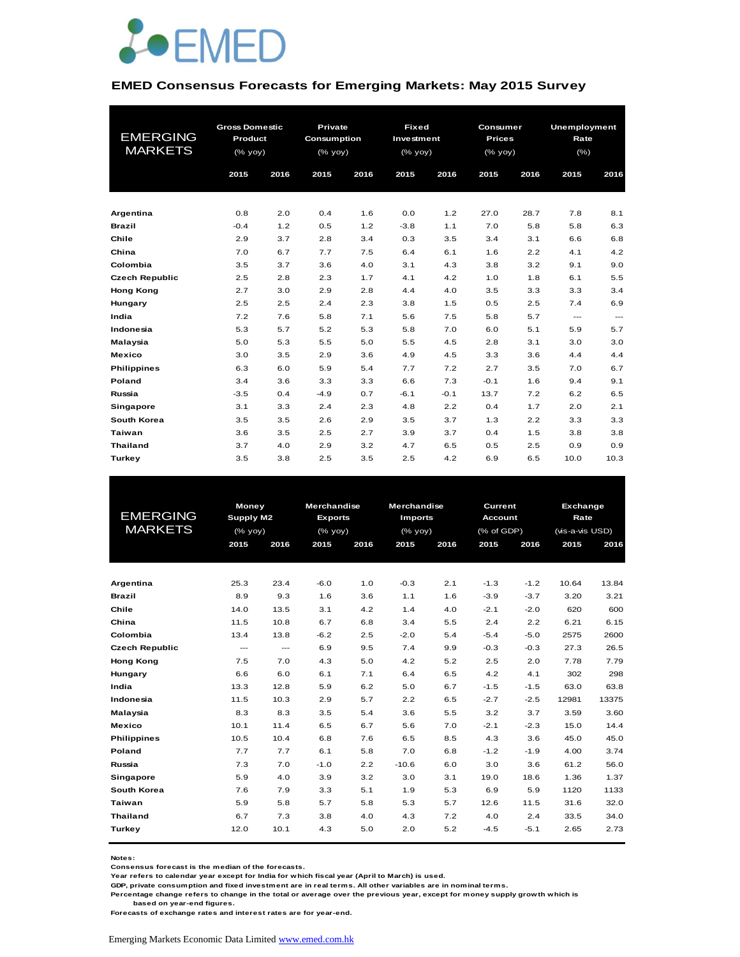

#### **EMED Consensus Forecasts for Emerging Markets: May 2015 Survey**

|                       | <b>Gross Domestic</b>                          |      | Private     |      |                                        | <b>Fixed</b><br>Consumer |               |      | Unemployment           |                        |
|-----------------------|------------------------------------------------|------|-------------|------|----------------------------------------|--------------------------|---------------|------|------------------------|------------------------|
| <b>EMERGING</b>       | Product                                        |      | Consumption |      | Investment                             |                          | <b>Prices</b> |      | Rate                   |                        |
| <b>MARKETS</b>        | $(% \mathsf{A}\rightarrow \mathsf{A})$ (% yoy) |      | (% yoy)     |      | $(% \mathsf{Y}\rightarrow \mathsf{Y})$ |                          | (% yoy)       |      | (%)                    |                        |
|                       | 2015                                           | 2016 | 2015        | 2016 | 2015                                   | 2016                     | 2015          | 2016 | 2015                   | 2016                   |
|                       |                                                |      |             |      |                                        |                          |               |      |                        |                        |
|                       |                                                |      |             |      |                                        |                          |               |      |                        |                        |
| Argentina             | 0.8                                            | 2.0  | 0.4         | 1.6  | 0.0                                    | 1.2                      | 27.0          | 28.7 | 7.8                    | 8.1                    |
| <b>Brazil</b>         | $-0.4$                                         | 1.2  | 0.5         | 1.2  | $-3.8$                                 | 1.1                      | 7.0           | 5.8  | 5.8                    | 6.3                    |
| Chile                 | 2.9                                            | 3.7  | 2.8         | 3.4  | 0.3                                    | 3.5                      | 3.4           | 3.1  | 6.6                    | 6.8                    |
| China                 | 7.0                                            | 6.7  | 7.7         | 7.5  | 6.4                                    | 6.1                      | 1.6           | 2.2  | 4.1                    | 4.2                    |
| Colombia              | 3.5                                            | 3.7  | 3.6         | 4.0  | 3.1                                    | 4.3                      | 3.8           | 3.2  | 9.1                    | 9.0                    |
| <b>Czech Republic</b> | 2.5                                            | 2.8  | 2.3         | 1.7  | 4.1                                    | 4.2                      | 1.0           | 1.8  | 6.1                    | 5.5                    |
| <b>Hong Kong</b>      | 2.7                                            | 3.0  | 2.9         | 2.8  | 4.4                                    | 4.0                      | 3.5           | 3.3  | 3.3                    | 3.4                    |
| Hungary               | 2.5                                            | 2.5  | 2.4         | 2.3  | 3.8                                    | 1.5                      | 0.5           | 2.5  | 7.4                    | 6.9                    |
| India                 | 7.2                                            | 7.6  | 5.8         | 7.1  | 5.6                                    | 7.5                      | 5.8           | 5.7  | $\qquad \qquad \cdots$ | $\qquad \qquad \cdots$ |
| Indonesia             | 5.3                                            | 5.7  | 5.2         | 5.3  | 5.8                                    | 7.0                      | 6.0           | 5.1  | 5.9                    | 5.7                    |
| Malaysia              | 5.0                                            | 5.3  | 5.5         | 5.0  | 5.5                                    | 4.5                      | 2.8           | 3.1  | 3.0                    | 3.0                    |
| <b>Mexico</b>         | 3.0                                            | 3.5  | 2.9         | 3.6  | 4.9                                    | 4.5                      | 3.3           | 3.6  | 4.4                    | 4.4                    |
| <b>Philippines</b>    | 6.3                                            | 6.0  | 5.9         | 5.4  | 7.7                                    | 7.2                      | 2.7           | 3.5  | 7.0                    | 6.7                    |
| Poland                | 3.4                                            | 3.6  | 3.3         | 3.3  | 6.6                                    | 7.3                      | $-0.1$        | 1.6  | 9.4                    | 9.1                    |
| Russia                | $-3.5$                                         | 0.4  | $-4.9$      | 0.7  | $-6.1$                                 | $-0.1$                   | 13.7          | 7.2  | 6.2                    | 6.5                    |
| Singapore             | 3.1                                            | 3.3  | 2.4         | 2.3  | 4.8                                    | 2.2                      | 0.4           | 1.7  | 2.0                    | 2.1                    |
| South Korea           | 3.5                                            | 3.5  | 2.6         | 2.9  | 3.5                                    | 3.7                      | 1.3           | 2.2  | 3.3                    | 3.3                    |
| Taiwan                | 3.6                                            | 3.5  | 2.5         | 2.7  | 3.9                                    | 3.7                      | 0.4           | 1.5  | 3.8                    | 3.8                    |
| <b>Thailand</b>       | 3.7                                            | 4.0  | 2.9         | 3.2  | 4.7                                    | 6.5                      | 0.5           | 2.5  | 0.9                    | 0.9                    |
| Turkey                | 3.5                                            | 3.8  | 2.5         | 3.5  | 2.5                                    | 4.2                      | 6.9           | 6.5  | 10.0                   | 10.3                   |

|                       | Money            |      | <b>Merchandise</b> |      | <b>Merchandise</b> |      | Current        |        | Exchange        |       |
|-----------------------|------------------|------|--------------------|------|--------------------|------|----------------|--------|-----------------|-------|
| <b>EMERGING</b>       | <b>Supply M2</b> |      | <b>Exports</b>     |      | <b>Imports</b>     |      | <b>Account</b> |        | Rate            |       |
| <b>MARKETS</b>        | $(%$ (% yoy)     |      | $(%$ (% yoy)       |      | $(%$ yoy $)$       |      | (% of GDP)     |        | (vis-a-vis USD) |       |
|                       | 2015             | 2016 | 2015               | 2016 | 2015               | 2016 | 2015           | 2016   | 2015            | 2016  |
|                       |                  |      |                    |      |                    |      |                |        |                 |       |
|                       |                  |      |                    |      |                    |      |                |        |                 |       |
| Argentina             | 25.3             | 23.4 | $-6.0$             | 1.0  | $-0.3$             | 2.1  | $-1.3$         | $-1.2$ | 10.64           | 13.84 |
| <b>Brazil</b>         | 8.9              | 9.3  | 1.6                | 3.6  | 1.1                | 1.6  | $-3.9$         | $-3.7$ | 3.20            | 3.21  |
| Chile                 | 14.0             | 13.5 | 3.1                | 4.2  | 1.4                | 4.0  | $-2.1$         | $-2.0$ | 620             | 600   |
| China                 | 11.5             | 10.8 | 6.7                | 6.8  | 3.4                | 5.5  | 2.4            | 2.2    | 6.21            | 6.15  |
| Colombia              | 13.4             | 13.8 | $-6.2$             | 2.5  | $-2.0$             | 5.4  | $-5.4$         | $-5.0$ | 2575            | 2600  |
| <b>Czech Republic</b> | ---              | ---  | 6.9                | 9.5  | 7.4                | 9.9  | $-0.3$         | $-0.3$ | 27.3            | 26.5  |
| <b>Hong Kong</b>      | 7.5              | 7.0  | 4.3                | 5.0  | 4.2                | 5.2  | 2.5            | 2.0    | 7.78            | 7.79  |
| Hungary               | 6.6              | 6.0  | 6.1                | 7.1  | 6.4                | 6.5  | 4.2            | 4.1    | 302             | 298   |
| India                 | 13.3             | 12.8 | 5.9                | 6.2  | 5.0                | 6.7  | $-1.5$         | $-1.5$ | 63.0            | 63.8  |
| Indonesia             | 11.5             | 10.3 | 2.9                | 5.7  | 2.2                | 6.5  | $-2.7$         | $-2.5$ | 12981           | 13375 |
| Malaysia              | 8.3              | 8.3  | 3.5                | 5.4  | 3.6                | 5.5  | 3.2            | 3.7    | 3.59            | 3.60  |
| <b>Mexico</b>         | 10.1             | 11.4 | 6.5                | 6.7  | 5.6                | 7.0  | $-2.1$         | $-2.3$ | 15.0            | 14.4  |
| <b>Philippines</b>    | 10.5             | 10.4 | 6.8                | 7.6  | 6.5                | 8.5  | 4.3            | 3.6    | 45.0            | 45.0  |
| Poland                | 7.7              | 7.7  | 6.1                | 5.8  | 7.0                | 6.8  | $-1.2$         | $-1.9$ | 4.00            | 3.74  |
| Russia                | 7.3              | 7.0  | $-1.0$             | 2.2  | $-10.6$            | 6.0  | 3.0            | 3.6    | 61.2            | 56.0  |
| <b>Singapore</b>      | 5.9              | 4.0  | 3.9                | 3.2  | 3.0                | 3.1  | 19.0           | 18.6   | 1.36            | 1.37  |
| South Korea           | 7.6              | 7.9  | 3.3                | 5.1  | 1.9                | 5.3  | 6.9            | 5.9    | 1120            | 1133  |
| Taiwan                | 5.9              | 5.8  | 5.7                | 5.8  | 5.3                | 5.7  | 12.6           | 11.5   | 31.6            | 32.0  |
| <b>Thailand</b>       | 6.7              | 7.3  | 3.8                | 4.0  | 4.3                | 7.2  | 4.0            | 2.4    | 33.5            | 34.0  |
| Turkey                | 12.0             | 10.1 | 4.3                | 5.0  | 2.0                | 5.2  | $-4.5$         | $-5.1$ | 2.65            | 2.73  |
|                       |                  |      |                    |      |                    |      |                |        |                 |       |

**Notes:** 

**Consensus forecast is the median of the forecasts.**

**Year refers to calendar year except for India for which fiscal year (April to March) is used. GDP, private consumption and fixed investment are in real terms. All other variables are in nominal terms.**

**Percentage change refers to change in the total or average over the previous year, except for money supply growth which is** 

 **based on year-end figures.**

**Forecasts of exchange rates and interest rates are for year-end.**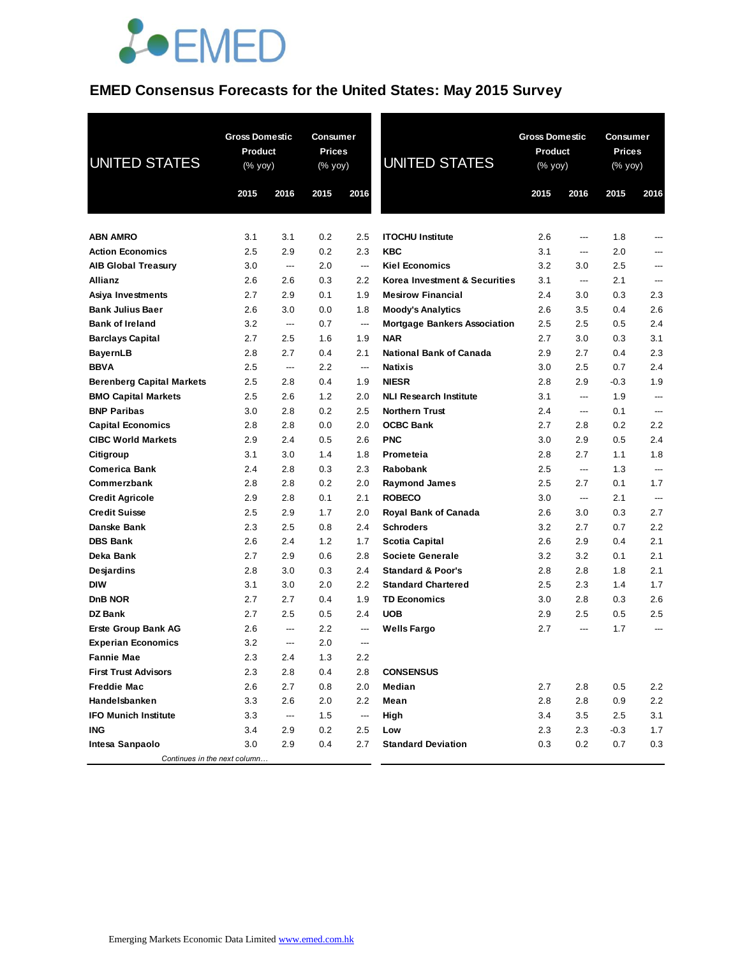

### **EMED Consensus Forecasts for the United States: May 2015 Survey**

| <b>UNITED STATES</b>             |      | <b>Gross Domestic</b><br><b>Product</b><br>$(\%$ yoy) |       | Consumer<br><b>Prices</b><br>$(% \mathsf{Y}^{\prime }\mathsf{Y}^{\prime }\mathsf{Y}^{\prime })$ | <b>UNITED STATES</b>                |         | <b>Gross Domestic</b><br><b>Product</b><br>(% yoy) |        | Consumer<br><b>Prices</b><br>(% yoy) |
|----------------------------------|------|-------------------------------------------------------|-------|-------------------------------------------------------------------------------------------------|-------------------------------------|---------|----------------------------------------------------|--------|--------------------------------------|
|                                  | 2015 | 2016                                                  | 2015  | 2016                                                                                            |                                     | 2015    | 2016                                               | 2015   | 2016                                 |
|                                  |      |                                                       |       |                                                                                                 |                                     |         |                                                    |        |                                      |
| <b>ABN AMRO</b>                  | 3.1  | 3.1                                                   | 0.2   | 2.5                                                                                             | <b>ITOCHU Institute</b>             | 2.6     | ---                                                | 1.8    | ---                                  |
| <b>Action Economics</b>          | 2.5  | 2.9                                                   | 0.2   | 2.3                                                                                             | <b>KBC</b>                          | 3.1     | ---                                                | 2.0    | ---                                  |
| <b>AIB Global Treasury</b>       | 3.0  | ---                                                   | 2.0   | $\hspace{0.05cm} \ldots$                                                                        | <b>Kiel Economics</b>               | 3.2     | 3.0                                                | 2.5    | ---                                  |
| <b>Allianz</b>                   | 2.6  | 2.6                                                   | 0.3   | 2.2                                                                                             | Korea Investment & Securities       | 3.1     | ---                                                | 2.1    | ---                                  |
| Asiya Investments                | 2.7  | 2.9                                                   | 0.1   | 1.9                                                                                             | <b>Mesirow Financial</b>            | 2.4     | 3.0                                                | 0.3    | 2.3                                  |
| <b>Bank Julius Baer</b>          | 2.6  | 3.0                                                   | 0.0   | 1.8                                                                                             | <b>Moody's Analytics</b>            | 2.6     | 3.5                                                | 0.4    | 2.6                                  |
| <b>Bank of Ireland</b>           | 3.2  | ---                                                   | 0.7   | $\hspace{0.05cm} \dashrightarrow$                                                               | <b>Mortgage Bankers Association</b> | $2.5\,$ | 2.5                                                | 0.5    | 2.4                                  |
| <b>Barclays Capital</b>          | 2.7  | 2.5                                                   | 1.6   | 1.9                                                                                             | <b>NAR</b>                          | 2.7     | 3.0                                                | 0.3    | 3.1                                  |
| <b>BayernLB</b>                  | 2.8  | 2.7                                                   | 0.4   | 2.1                                                                                             | <b>National Bank of Canada</b>      | 2.9     | 2.7                                                | 0.4    | 2.3                                  |
| <b>BBVA</b>                      | 2.5  | ---                                                   | 2.2   | ---                                                                                             | <b>Natixis</b>                      | 3.0     | 2.5                                                | 0.7    | 2.4                                  |
| <b>Berenberg Capital Markets</b> | 2.5  | 2.8                                                   | 0.4   | 1.9                                                                                             | <b>NIESR</b>                        | 2.8     | 2.9                                                | $-0.3$ | 1.9                                  |
| <b>BMO Capital Markets</b>       | 2.5  | 2.6                                                   | 1.2   | 2.0                                                                                             | <b>NLI Research Institute</b>       | 3.1     | ---                                                | 1.9    | $---$                                |
| <b>BNP Paribas</b>               | 3.0  | 2.8                                                   | 0.2   | 2.5                                                                                             | <b>Northern Trust</b>               | 2.4     | ---                                                | 0.1    | $---$                                |
| <b>Capital Economics</b>         | 2.8  | 2.8                                                   | 0.0   | 2.0                                                                                             | <b>OCBC Bank</b>                    | 2.7     | 2.8                                                | 0.2    | 2.2                                  |
| <b>CIBC World Markets</b>        | 2.9  | 2.4                                                   | 0.5   | 2.6                                                                                             | <b>PNC</b>                          | 3.0     | 2.9                                                | 0.5    | 2.4                                  |
| Citigroup                        | 3.1  | 3.0                                                   | 1.4   | 1.8                                                                                             | Prometeia                           | 2.8     | 2.7                                                | 1.1    | 1.8                                  |
| <b>Comerica Bank</b>             | 2.4  | 2.8                                                   | 0.3   | 2.3                                                                                             | Rabobank                            | $2.5\,$ | ---                                                | 1.3    | ---                                  |
| Commerzbank                      | 2.8  | 2.8                                                   | 0.2   | 2.0                                                                                             | <b>Raymond James</b>                | $2.5\,$ | 2.7                                                | 0.1    | 1.7                                  |
| <b>Credit Agricole</b>           | 2.9  | 2.8                                                   | 0.1   | 2.1                                                                                             | <b>ROBECO</b>                       | 3.0     | ---                                                | 2.1    | $---$                                |
| <b>Credit Suisse</b>             | 2.5  | 2.9                                                   | 1.7   | 2.0                                                                                             | <b>Royal Bank of Canada</b>         | 2.6     | 3.0                                                | 0.3    | 2.7                                  |
| Danske Bank                      | 2.3  | 2.5                                                   | 0.8   | 2.4                                                                                             | <b>Schroders</b>                    | 3.2     | 2.7                                                | 0.7    | 2.2                                  |
| <b>DBS Bank</b>                  | 2.6  | 2.4                                                   | 1.2   | 1.7                                                                                             | Scotia Capital                      | 2.6     | 2.9                                                | 0.4    | 2.1                                  |
| Deka Bank                        | 2.7  | 2.9                                                   | 0.6   | 2.8                                                                                             | <b>Societe Generale</b>             | 3.2     | 3.2                                                | 0.1    | 2.1                                  |
| Desjardins                       | 2.8  | 3.0                                                   | 0.3   | 2.4                                                                                             | <b>Standard &amp; Poor's</b>        | 2.8     | 2.8                                                | 1.8    | 2.1                                  |
| <b>DIW</b>                       | 3.1  | 3.0                                                   | 2.0   | 2.2                                                                                             | <b>Standard Chartered</b>           | $2.5\,$ | 2.3                                                | 1.4    | 1.7                                  |
| <b>DnB NOR</b>                   | 2.7  | 2.7                                                   | 0.4   | 1.9                                                                                             | <b>TD Economics</b>                 | 3.0     | 2.8                                                | 0.3    | 2.6                                  |
| <b>DZ Bank</b>                   | 2.7  | 2.5                                                   | 0.5   | 2.4                                                                                             | <b>UOB</b>                          | 2.9     | 2.5                                                | 0.5    | 2.5                                  |
| <b>Erste Group Bank AG</b>       | 2.6  | $\overline{a}$                                        | 2.2   | ---                                                                                             | <b>Wells Fargo</b>                  | 2.7     | $---$                                              | 1.7    | $---$                                |
| <b>Experian Economics</b>        | 3.2  | $---$                                                 | 2.0   | $---$                                                                                           |                                     |         |                                                    |        |                                      |
| <b>Fannie Mae</b>                | 2.3  | 2.4                                                   | $1.3$ | 2.2                                                                                             |                                     |         |                                                    |        |                                      |
| <b>First Trust Advisors</b>      | 2.3  | 2.8                                                   | 0.4   | 2.8                                                                                             | <b>CONSENSUS</b>                    |         |                                                    |        |                                      |
| <b>Freddie Mac</b>               | 2.6  | 2.7                                                   | 0.8   | 2.0                                                                                             | Median                              | 2.7     | 2.8                                                | 0.5    | 2.2                                  |
| Handelsbanken                    | 3.3  | 2.6                                                   | 2.0   | 2.2                                                                                             | Mean                                | 2.8     | 2.8                                                | 0.9    | 2.2                                  |
| <b>IFO Munich Institute</b>      | 3.3  | ---                                                   | 1.5   | $\hspace{0.05cm} \dashrightarrow$                                                               | High                                | 3.4     | 3.5                                                | 2.5    | 3.1                                  |
| ING                              | 3.4  | 2.9                                                   | 0.2   | 2.5                                                                                             | Low                                 | 2.3     | 2.3                                                | $-0.3$ | 1.7                                  |
| Intesa Sanpaolo                  | 3.0  | 2.9                                                   | 0.4   | 2.7                                                                                             | <b>Standard Deviation</b>           | 0.3     | 0.2                                                | 0.7    | 0.3                                  |
| Continues in the next column     |      |                                                       |       |                                                                                                 |                                     |         |                                                    |        |                                      |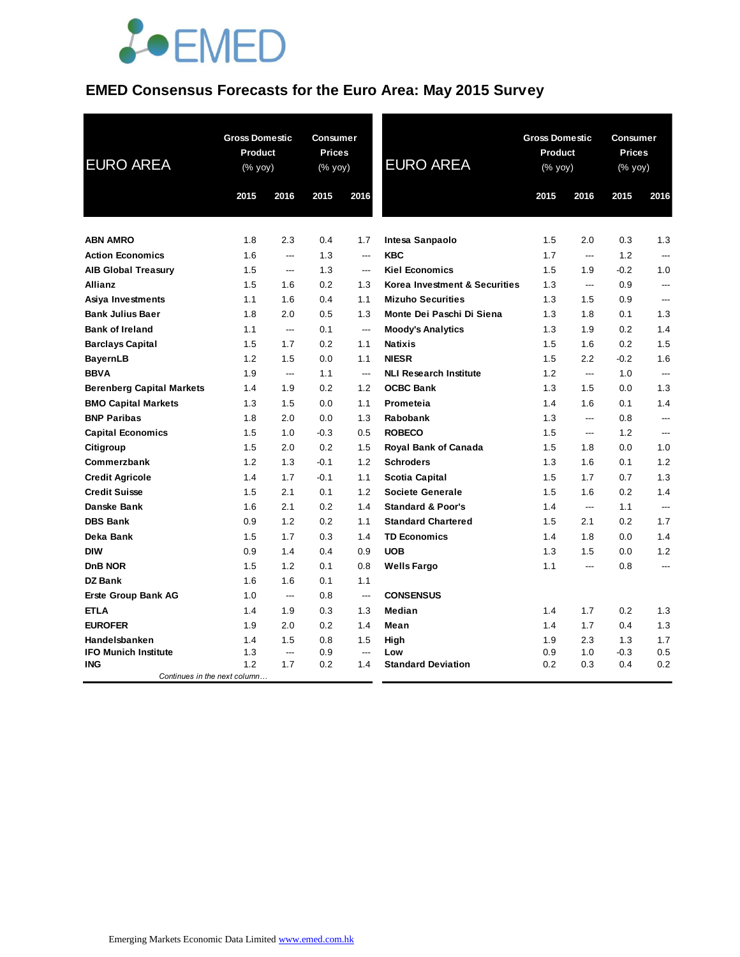

# **EMED Consensus Forecasts for the Euro Area: May 2015 Survey**

| <b>EURO AREA</b>                           | <b>Gross Domestic</b><br>Product<br>(% yoy) |                | Consumer<br><b>Prices</b><br>(% yoy) |                | <b>EURO AREA</b>              | <b>Gross Domestic</b><br><b>Product</b><br>(% yoy) |                          | <b>Consumer</b><br><b>Prices</b><br>(% yoy) |                          |
|--------------------------------------------|---------------------------------------------|----------------|--------------------------------------|----------------|-------------------------------|----------------------------------------------------|--------------------------|---------------------------------------------|--------------------------|
|                                            | 2015                                        | 2016           | 2015                                 | 2016           |                               | 2015                                               | 2016                     | 2015                                        | 2016                     |
| <b>ABN AMRO</b>                            | 1.8                                         | 2.3            | 0.4                                  | 1.7            | Intesa Sanpaolo               | 1.5                                                | 2.0                      | 0.3                                         | 1.3                      |
| <b>Action Economics</b>                    | 1.6                                         | $---$          | 1.3                                  | ---            | <b>KBC</b>                    | 1.7                                                | $---$                    | 1.2                                         | $\overline{a}$           |
| <b>AIB Global Treasury</b>                 | 1.5                                         | ---            | 1.3                                  | $\overline{a}$ | <b>Kiel Economics</b>         | 1.5                                                | 1.9                      | $-0.2$                                      | 1.0                      |
| <b>Allianz</b>                             | 1.5                                         | 1.6            | 0.2                                  | 1.3            | Korea Investment & Securities | 1.3                                                | $\overline{\phantom{a}}$ | 0.9                                         | ---                      |
| Asiya Investments                          | 1.1                                         | 1.6            | 0.4                                  | 1.1            | <b>Mizuho Securities</b>      | 1.3                                                | 1.5                      | 0.9                                         | ---                      |
| <b>Bank Julius Baer</b>                    | 1.8                                         | 2.0            | 0.5                                  | 1.3            | Monte Dei Paschi Di Siena     | 1.3                                                | 1.8                      | 0.1                                         | 1.3                      |
| <b>Bank of Ireland</b>                     | 1.1                                         | ---            | 0.1                                  | ---            | <b>Moody's Analytics</b>      | 1.3                                                | 1.9                      | 0.2                                         | 1.4                      |
| <b>Barclays Capital</b>                    | 1.5                                         | 1.7            | 0.2                                  | 1.1            | <b>Natixis</b>                | 1.5                                                | 1.6                      | 0.2                                         | 1.5                      |
| <b>BayernLB</b>                            | 1.2                                         | 1.5            | 0.0                                  | 1.1            | <b>NIESR</b>                  | 1.5                                                | 2.2                      | $-0.2$                                      | 1.6                      |
| <b>BBVA</b>                                | 1.9                                         | $\overline{a}$ | 1.1                                  | $\overline{a}$ | <b>NLI Research Institute</b> | 1.2                                                | $\overline{\phantom{a}}$ | 1.0                                         | $\overline{\phantom{a}}$ |
| <b>Berenberg Capital Markets</b>           | 1.4                                         | 1.9            | 0.2                                  | 1.2            | <b>OCBC Bank</b>              | 1.3                                                | 1.5                      | 0.0                                         | 1.3                      |
| <b>BMO Capital Markets</b>                 | 1.3                                         | 1.5            | 0.0                                  | 1.1            | Prometeia                     | 1.4                                                | 1.6                      | 0.1                                         | 1.4                      |
| <b>BNP Paribas</b>                         | 1.8                                         | 2.0            | 0.0                                  | 1.3            | <b>Rabobank</b>               | 1.3                                                | $---$                    | 0.8                                         | ---                      |
| <b>Capital Economics</b>                   | 1.5                                         | 1.0            | $-0.3$                               | 0.5            | <b>ROBECO</b>                 | 1.5                                                | $\overline{a}$           | 1.2                                         | $---$                    |
| Citigroup                                  | 1.5                                         | 2.0            | 0.2                                  | 1.5            | Royal Bank of Canada          | 1.5                                                | 1.8                      | 0.0                                         | 1.0                      |
| Commerzbank                                | 1.2                                         | 1.3            | $-0.1$                               | 1.2            | <b>Schroders</b>              | 1.3                                                | 1.6                      | 0.1                                         | 1.2                      |
| <b>Credit Agricole</b>                     | 1.4                                         | 1.7            | $-0.1$                               | 1.1            | <b>Scotia Capital</b>         | 1.5                                                | 1.7                      | 0.7                                         | 1.3                      |
| <b>Credit Suisse</b>                       | 1.5                                         | 2.1            | 0.1                                  | 1.2            | <b>Societe Generale</b>       | 1.5                                                | 1.6                      | 0.2                                         | 1.4                      |
| Danske Bank                                | 1.6                                         | 2.1            | 0.2                                  | 1.4            | <b>Standard &amp; Poor's</b>  | 1.4                                                | $\hspace{0.05cm} \ldots$ | 1.1                                         | $---$                    |
| <b>DBS Bank</b>                            | 0.9                                         | 1.2            | 0.2                                  | 1.1            | <b>Standard Chartered</b>     | 1.5                                                | 2.1                      | 0.2                                         | 1.7                      |
| Deka Bank                                  | 1.5                                         | 1.7            | 0.3                                  | 1.4            | <b>TD Economics</b>           | 1.4                                                | 1.8                      | 0.0                                         | 1.4                      |
| <b>DIW</b>                                 | 0.9                                         | 1.4            | 0.4                                  | 0.9            | <b>UOB</b>                    | 1.3                                                | 1.5                      | 0.0                                         | 1.2                      |
| <b>DnB NOR</b>                             | 1.5                                         | 1.2            | 0.1                                  | 0.8            | <b>Wells Fargo</b>            | 1.1                                                | ---                      | 0.8                                         | ---                      |
| <b>DZ Bank</b>                             | 1.6                                         | 1.6            | 0.1                                  | 1.1            |                               |                                                    |                          |                                             |                          |
| <b>Erste Group Bank AG</b>                 | 1.0                                         | $\overline{a}$ | 0.8                                  | $\overline{a}$ | <b>CONSENSUS</b>              |                                                    |                          |                                             |                          |
| <b>ETLA</b>                                | 1.4                                         | 1.9            | 0.3                                  | 1.3            | Median                        | 1.4                                                | 1.7                      | 0.2                                         | 1.3                      |
| <b>EUROFER</b>                             | 1.9                                         | 2.0            | 0.2                                  | 1.4            | Mean                          | 1.4                                                | 1.7                      | 0.4                                         | 1.3                      |
| Handelsbanken                              | 1.4                                         | 1.5            | 0.8                                  | 1.5            | High                          | 1.9                                                | 2.3                      | 1.3                                         | 1.7                      |
| <b>IFO Munich Institute</b>                | 1.3                                         | ---            | 0.9                                  | ---            | Low                           | 0.9                                                | 1.0                      | $-0.3$                                      | 0.5                      |
| <b>ING</b><br>Continues in the next column | 1.2                                         | 1.7            | 0.2                                  | 1.4            | <b>Standard Deviation</b>     | 0.2                                                | 0.3                      | 0.4                                         | 0.2                      |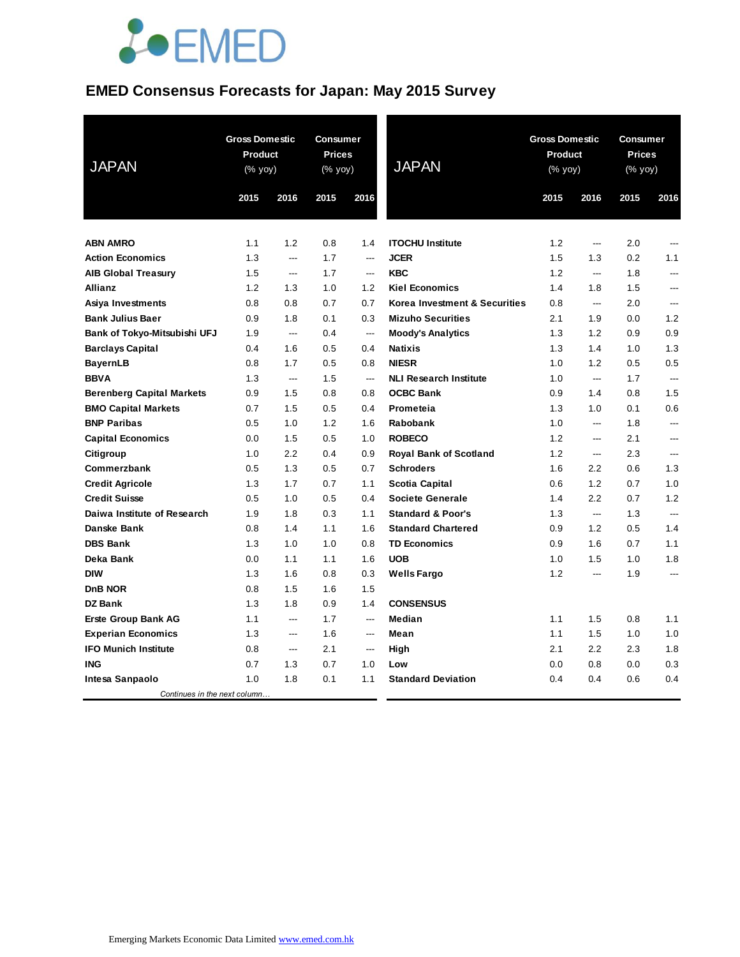

### **EMED Consensus Forecasts for Japan: May 2015 Survey**

| <b>JAPAN</b>                     | <b>Gross Domestic</b><br>Product<br>$(% \mathsf{Y}^{\prime }\mathsf{Y}^{\prime }\mathsf{Y}^{\prime })$ |                | Consumer<br><b>Prices</b><br>(% yoy) |                | <b>JAPAN</b>                  | <b>Gross Domestic</b><br><b>Product</b><br>$(% \mathsf{Y}^{\prime }\mathsf{Y}^{\prime }\mathsf{Y}^{\prime })$ |                          | <b>Consumer</b><br><b>Prices</b><br>(% yoy) |                |
|----------------------------------|--------------------------------------------------------------------------------------------------------|----------------|--------------------------------------|----------------|-------------------------------|---------------------------------------------------------------------------------------------------------------|--------------------------|---------------------------------------------|----------------|
|                                  | 2015                                                                                                   | 2016           | 2015                                 | 2016           |                               | 2015                                                                                                          | 2016                     | 2015                                        | 2016           |
| <b>ABN AMRO</b>                  | 1.1                                                                                                    | 1.2            | 0.8                                  | 1.4            | <b>ITOCHU Institute</b>       | 1.2                                                                                                           | ---                      | 2.0                                         | ---            |
| <b>Action Economics</b>          | 1.3                                                                                                    | $\overline{a}$ | 1.7                                  | $\overline{a}$ | <b>JCER</b>                   | 1.5                                                                                                           | 1.3                      | 0.2                                         | 1.1            |
| <b>AIB Global Treasury</b>       | 1.5                                                                                                    | $\overline{a}$ | 1.7                                  | ---            | <b>KBC</b>                    | 1.2                                                                                                           | ---                      | 1.8                                         | ---            |
| Allianz                          | 1.2                                                                                                    | 1.3            | 1.0                                  | 1.2            | <b>Kiel Economics</b>         | 1.4                                                                                                           | 1.8                      | 1.5                                         | ---            |
| Asiya Investments                | 0.8                                                                                                    | 0.8            | 0.7                                  | 0.7            | Korea Investment & Securities | 0.8                                                                                                           | $\hspace{0.05cm} \ldots$ | 2.0                                         | ---            |
| <b>Bank Julius Baer</b>          | 0.9                                                                                                    | 1.8            | 0.1                                  | 0.3            | <b>Mizuho Securities</b>      | 2.1                                                                                                           | 1.9                      | 0.0                                         | 1.2            |
| Bank of Tokyo-Mitsubishi UFJ     | 1.9                                                                                                    | ---            | 0.4                                  | ---            | <b>Moody's Analytics</b>      | 1.3                                                                                                           | 1.2                      | 0.9                                         | 0.9            |
| <b>Barclays Capital</b>          | 0.4                                                                                                    | 1.6            | 0.5                                  | 0.4            | <b>Natixis</b>                | 1.3                                                                                                           | 1.4                      | 1.0                                         | 1.3            |
| <b>BayernLB</b>                  | 0.8                                                                                                    | 1.7            | 0.5                                  | 0.8            | <b>NIESR</b>                  | 1.0                                                                                                           | 1.2                      | 0.5                                         | 0.5            |
| <b>BBVA</b>                      | 1.3                                                                                                    | $\overline{a}$ | 1.5                                  | $---$          | <b>NLI Research Institute</b> | 1.0                                                                                                           | ---                      | 1.7                                         | $\overline{a}$ |
| <b>Berenberg Capital Markets</b> | 0.9                                                                                                    | 1.5            | 0.8                                  | 0.8            | <b>OCBC Bank</b>              | 0.9                                                                                                           | 1.4                      | 0.8                                         | 1.5            |
| <b>BMO Capital Markets</b>       | 0.7                                                                                                    | 1.5            | 0.5                                  | 0.4            | Prometeia                     | 1.3                                                                                                           | 1.0                      | 0.1                                         | 0.6            |
| <b>BNP Paribas</b>               | 0.5                                                                                                    | 1.0            | 1.2                                  | 1.6            | Rabobank                      | 1.0                                                                                                           | ---                      | 1.8                                         | ---            |
| <b>Capital Economics</b>         | 0.0                                                                                                    | 1.5            | 0.5                                  | 1.0            | <b>ROBECO</b>                 | 1.2                                                                                                           | $---$                    | 2.1                                         | ---            |
| Citigroup                        | 1.0                                                                                                    | 2.2            | 0.4                                  | 0.9            | <b>Royal Bank of Scotland</b> | 1.2                                                                                                           | ---                      | 2.3                                         | ---            |
| Commerzbank                      | 0.5                                                                                                    | 1.3            | 0.5                                  | 0.7            | <b>Schroders</b>              | 1.6                                                                                                           | 2.2                      | 0.6                                         | 1.3            |
| <b>Credit Agricole</b>           | 1.3                                                                                                    | 1.7            | 0.7                                  | 1.1            | <b>Scotia Capital</b>         | 0.6                                                                                                           | 1.2                      | 0.7                                         | 1.0            |
| <b>Credit Suisse</b>             | 0.5                                                                                                    | 1.0            | 0.5                                  | 0.4            | <b>Societe Generale</b>       | 1.4                                                                                                           | 2.2                      | 0.7                                         | 1.2            |
| Daiwa Institute of Research      | 1.9                                                                                                    | 1.8            | 0.3                                  | 1.1            | <b>Standard &amp; Poor's</b>  | 1.3                                                                                                           | ---                      | 1.3                                         | ---            |
| Danske Bank                      | 0.8                                                                                                    | 1.4            | 1.1                                  | 1.6            | <b>Standard Chartered</b>     | 0.9                                                                                                           | 1.2                      | 0.5                                         | 1.4            |
| <b>DBS Bank</b>                  | 1.3                                                                                                    | 1.0            | 1.0                                  | 0.8            | <b>TD Economics</b>           | 0.9                                                                                                           | 1.6                      | 0.7                                         | 1.1            |
| Deka Bank                        | 0.0                                                                                                    | 1.1            | 1.1                                  | 1.6            | <b>UOB</b>                    | 1.0                                                                                                           | 1.5                      | 1.0                                         | 1.8            |
| <b>DIW</b>                       | 1.3                                                                                                    | 1.6            | 0.8                                  | 0.3            | <b>Wells Fargo</b>            | 1.2                                                                                                           | ---                      | 1.9                                         | ---            |
| DnB NOR                          | 0.8                                                                                                    | 1.5            | 1.6                                  | 1.5            |                               |                                                                                                               |                          |                                             |                |
| <b>DZ Bank</b>                   | 1.3                                                                                                    | 1.8            | 0.9                                  | 1.4            | <b>CONSENSUS</b>              |                                                                                                               |                          |                                             |                |
| <b>Erste Group Bank AG</b>       | 1.1                                                                                                    | $\overline{a}$ | 1.7                                  | $\overline{a}$ | Median                        | 1.1                                                                                                           | 1.5                      | 0.8                                         | 1.1            |
| <b>Experian Economics</b>        | 1.3                                                                                                    | ---            | 1.6                                  | ---            | Mean                          | 1.1                                                                                                           | 1.5                      | 1.0                                         | 1.0            |
| <b>IFO Munich Institute</b>      | 0.8                                                                                                    | ---            | 2.1                                  | ---            | High                          | 2.1                                                                                                           | 2.2                      | 2.3                                         | 1.8            |
| <b>ING</b>                       | 0.7                                                                                                    | 1.3            | 0.7                                  | 1.0            | Low                           | 0.0                                                                                                           | 0.8                      | 0.0                                         | 0.3            |
| Intesa Sanpaolo                  | 1.0                                                                                                    | 1.8            | 0.1                                  | 1.1            | <b>Standard Deviation</b>     | 0.4                                                                                                           | 0.4                      | 0.6                                         | 0.4            |
| Continues in the next column     |                                                                                                        |                |                                      |                |                               |                                                                                                               |                          |                                             |                |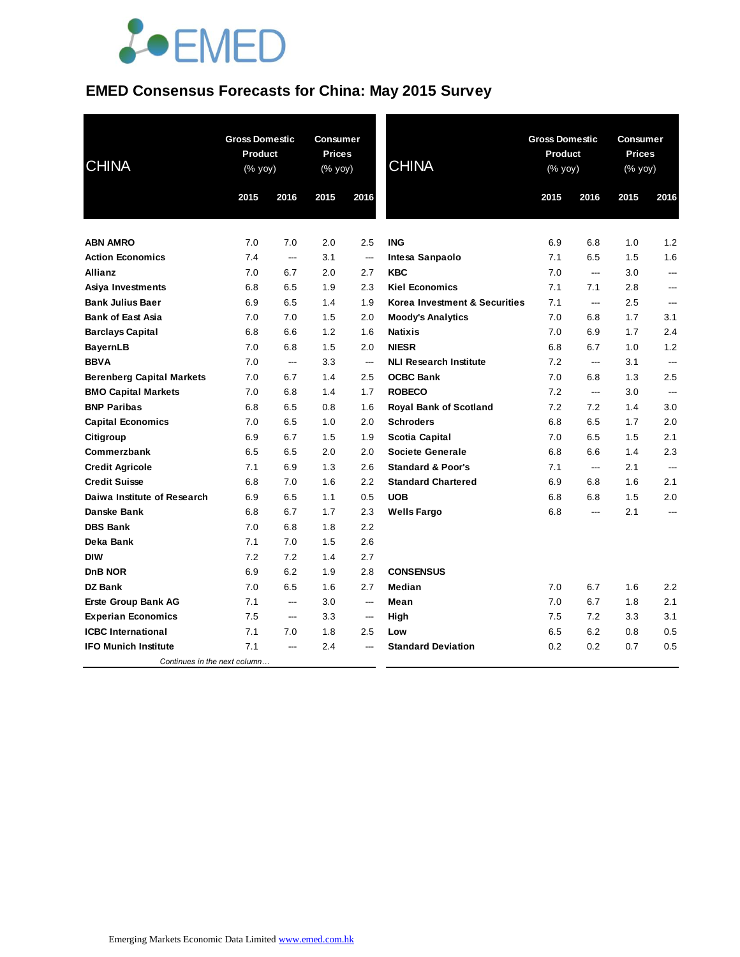

# **EMED Consensus Forecasts for China: May 2015 Survey**

| <b>CHINA</b>                     | <b>Gross Domestic</b><br><b>Product</b><br>(% yoy) |                          | <b>Consumer</b><br><b>Prices</b><br>(% yoy) |                          | <b>CHINA</b>                  | <b>Gross Domestic</b><br><b>Product</b><br>(% yoy) |      | Consumer<br><b>Prices</b><br>$(% \mathsf{Y}^{\prime }\mathsf{Y}^{\prime }\mathsf{Y}^{\prime })$ |                |
|----------------------------------|----------------------------------------------------|--------------------------|---------------------------------------------|--------------------------|-------------------------------|----------------------------------------------------|------|-------------------------------------------------------------------------------------------------|----------------|
|                                  | 2015                                               | 2016                     | 2015                                        | 2016                     |                               | 2015                                               | 2016 | 2015                                                                                            | 2016           |
| <b>ABN AMRO</b>                  | 7.0                                                | 7.0                      | 2.0                                         | 2.5                      | <b>ING</b>                    | 6.9                                                | 6.8  | 1.0                                                                                             | 1.2            |
| <b>Action Economics</b>          | 7.4                                                | $\overline{\phantom{a}}$ | 3.1                                         | ---                      | Intesa Sanpaolo               | 7.1                                                | 6.5  | 1.5                                                                                             | 1.6            |
| Allianz                          | 7.0                                                | 6.7                      | 2.0                                         | 2.7                      | <b>KBC</b>                    | 7.0                                                | ---  | 3.0                                                                                             | ---            |
| Asiya Investments                | 6.8                                                | 6.5                      | 1.9                                         | 2.3                      | <b>Kiel Economics</b>         | 7.1                                                | 7.1  | 2.8                                                                                             | ---            |
| <b>Bank Julius Baer</b>          | 6.9                                                | 6.5                      | 1.4                                         | 1.9                      | Korea Investment & Securities | 7.1                                                | ---  | 2.5                                                                                             | ---            |
| <b>Bank of East Asia</b>         | 7.0                                                | 7.0                      | 1.5                                         | 2.0                      | <b>Moody's Analytics</b>      | 7.0                                                | 6.8  | 1.7                                                                                             | 3.1            |
| <b>Barclays Capital</b>          | 6.8                                                | 6.6                      | 1.2                                         | 1.6                      | <b>Natixis</b>                | 7.0                                                | 6.9  | 1.7                                                                                             | 2.4            |
| <b>BayernLB</b>                  | 7.0                                                | 6.8                      | 1.5                                         | 2.0                      | <b>NIESR</b>                  | 6.8                                                | 6.7  | 1.0                                                                                             | 1.2            |
| <b>BBVA</b>                      | 7.0                                                | ---                      | 3.3                                         | $\hspace{0.05cm} \ldots$ | <b>NLI Research Institute</b> | 7.2                                                | ---  | 3.1                                                                                             | ---            |
| <b>Berenberg Capital Markets</b> | 7.0                                                | 6.7                      | 1.4                                         | 2.5                      | <b>OCBC Bank</b>              | 7.0                                                | 6.8  | 1.3                                                                                             | 2.5            |
| <b>BMO Capital Markets</b>       | 7.0                                                | 6.8                      | 1.4                                         | 1.7                      | <b>ROBECO</b>                 | 7.2                                                | ---  | 3.0                                                                                             | $\overline{a}$ |
| <b>BNP Paribas</b>               | 6.8                                                | 6.5                      | 0.8                                         | 1.6                      | <b>Royal Bank of Scotland</b> | 7.2                                                | 7.2  | 1.4                                                                                             | 3.0            |
| <b>Capital Economics</b>         | 7.0                                                | 6.5                      | 1.0                                         | 2.0                      | <b>Schroders</b>              | 6.8                                                | 6.5  | 1.7                                                                                             | 2.0            |
| Citigroup                        | 6.9                                                | 6.7                      | 1.5                                         | 1.9                      | <b>Scotia Capital</b>         | 7.0                                                | 6.5  | 1.5                                                                                             | 2.1            |
| Commerzbank                      | 6.5                                                | 6.5                      | 2.0                                         | 2.0                      | <b>Societe Generale</b>       | 6.8                                                | 6.6  | 1.4                                                                                             | 2.3            |
| <b>Credit Agricole</b>           | 7.1                                                | 6.9                      | 1.3                                         | 2.6                      | <b>Standard &amp; Poor's</b>  | 7.1                                                | ---  | 2.1                                                                                             | ---            |
| <b>Credit Suisse</b>             | 6.8                                                | 7.0                      | 1.6                                         | 2.2                      | <b>Standard Chartered</b>     | 6.9                                                | 6.8  | 1.6                                                                                             | 2.1            |
| Daiwa Institute of Research      | 6.9                                                | 6.5                      | 1.1                                         | 0.5                      | <b>UOB</b>                    | 6.8                                                | 6.8  | 1.5                                                                                             | 2.0            |
| Danske Bank                      | 6.8                                                | 6.7                      | 1.7                                         | 2.3                      | <b>Wells Fargo</b>            | 6.8                                                | ---  | 2.1                                                                                             | ---            |
| <b>DBS Bank</b>                  | 7.0                                                | 6.8                      | 1.8                                         | 2.2                      |                               |                                                    |      |                                                                                                 |                |
| Deka Bank                        | 7.1                                                | 7.0                      | 1.5                                         | 2.6                      |                               |                                                    |      |                                                                                                 |                |
| <b>DIW</b>                       | 7.2                                                | 7.2                      | 1.4                                         | 2.7                      |                               |                                                    |      |                                                                                                 |                |
| <b>DnB NOR</b>                   | 6.9                                                | 6.2                      | 1.9                                         | 2.8                      | <b>CONSENSUS</b>              |                                                    |      |                                                                                                 |                |
| <b>DZ Bank</b>                   | 7.0                                                | 6.5                      | 1.6                                         | 2.7                      | <b>Median</b>                 | 7.0                                                | 6.7  | 1.6                                                                                             | 2.2            |
| <b>Erste Group Bank AG</b>       | 7.1                                                | ---                      | 3.0                                         | $\overline{a}$           | Mean                          | 7.0                                                | 6.7  | 1.8                                                                                             | 2.1            |
| <b>Experian Economics</b>        | 7.5                                                | ---                      | 3.3                                         | ---                      | High                          | 7.5                                                | 7.2  | 3.3                                                                                             | 3.1            |
| <b>ICBC</b> International        | 7.1                                                | 7.0                      | 1.8                                         | 2.5                      | Low                           | 6.5                                                | 6.2  | 0.8                                                                                             | 0.5            |
| <b>IFO Munich Institute</b>      | 7.1                                                | $\overline{a}$           | 2.4                                         | $---$                    | <b>Standard Deviation</b>     | 0.2                                                | 0.2  | 0.7                                                                                             | 0.5            |
| Continues in the next column     |                                                    |                          |                                             |                          |                               |                                                    |      |                                                                                                 |                |